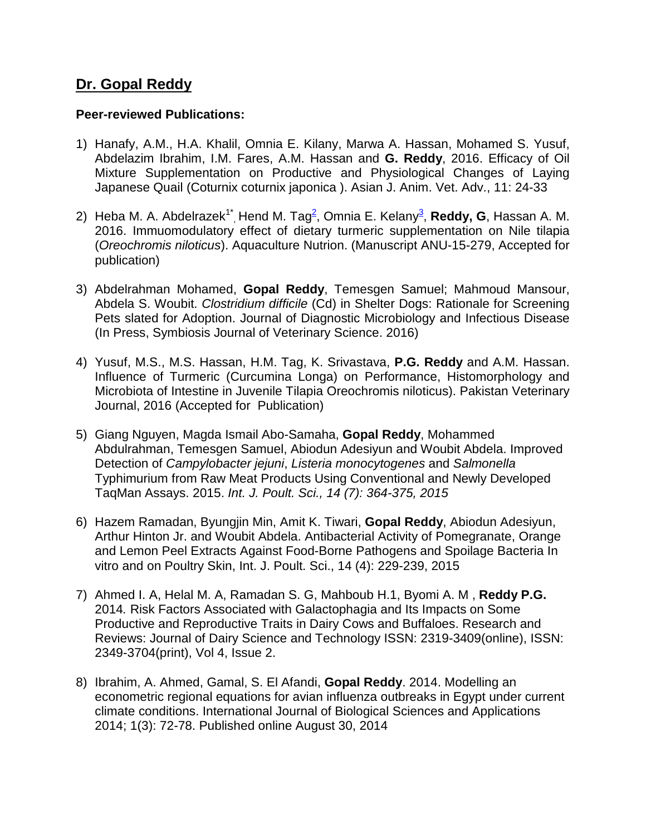## **Dr. Gopal Reddy**

## **Peer-reviewed Publications:**

- 1) Hanafy, A.M., H.A. Khalil, Omnia E. Kilany, Marwa A. Hassan, Mohamed S. Yusuf, Abdelazim Ibrahim, I.M. Fares, A.M. Hassan and **G. Reddy**, 2016. Efficacy of Oil Mixture Supplementation on Productive and Physiological Changes of Laying Japanese Quail (Coturnix coturnix japonica ). Asian J. Anim. Vet. Adv., 11: 24-33
- 2) Heba M. A. Abdelrazek<sup>1\*</sup>, Hend M. Tag<sup>2</sup>, Omnia E. Kelany<sup>3</sup>, **Reddy, G**, Hassan A. M. 2016. Immuomodulatory effect of dietary turmeric supplementation on Nile tilapia (*Oreochromis niloticus*). Aquaculture Nutrion. (Manuscript ANU-15-279, Accepted for publication)
- 3) Abdelrahman Mohamed, **Gopal Reddy**, Temesgen Samuel; Mahmoud Mansour, Abdela S. Woubit. *Clostridium difficile* (Cd) in Shelter Dogs: Rationale for Screening Pets slated for Adoption. Journal of Diagnostic Microbiology and Infectious Disease (In Press, Symbiosis Journal of Veterinary Science. 2016)
- 4) Yusuf, M.S., M.S. Hassan, H.M. Tag, K. Srivastava, **P.G. Reddy** and A.M. Hassan. Influence of Turmeric (Curcumina Longa) on Performance, Histomorphology and Microbiota of Intestine in Juvenile Tilapia Oreochromis niloticus). Pakistan Veterinary Journal, 2016 (Accepted for Publication)
- 5) Giang Nguyen, Magda Ismail Abo-Samaha, **Gopal Reddy**, Mohammed Abdulrahman, Temesgen Samuel, Abiodun Adesiyun and Woubit Abdela. Improved Detection of *Campylobacter jejuni*, *Listeria monocytogenes* and *Salmonella* Typhimurium from Raw Meat Products Using Conventional and Newly Developed TaqMan Assays. 2015. *Int. J. Poult. Sci., 14 (7): 364-375, 2015*
- 6) Hazem Ramadan, Byungjin Min, Amit K. Tiwari, **Gopal Reddy**, Abiodun Adesiyun, Arthur Hinton Jr. and Woubit Abdela. Antibacterial Activity of Pomegranate, Orange and Lemon Peel Extracts Against Food-Borne Pathogens and Spoilage Bacteria In vitro and on Poultry Skin, Int. J. Poult. Sci., 14 (4): 229-239, 2015
- 7) Ahmed I. A, Helal M. A, Ramadan S. G, Mahboub H.1, Byomi A. M , **Reddy P.G.** 2014*.* Risk Factors Associated with Galactophagia and Its Impacts on Some Productive and Reproductive Traits in Dairy Cows and Buffaloes. Research and Reviews: Journal of Dairy Science and Technology ISSN: 2319-3409(online), ISSN: 2349-3704(print), Vol 4, Issue 2.
- 8) Ibrahim, A. Ahmed, Gamal, S. El Afandi, **Gopal Reddy**. 2014. Modelling an econometric regional equations for avian influenza outbreaks in Egypt under current climate conditions. International Journal of Biological Sciences and Applications 2014; 1(3): 72-78. Published online August 30, 2014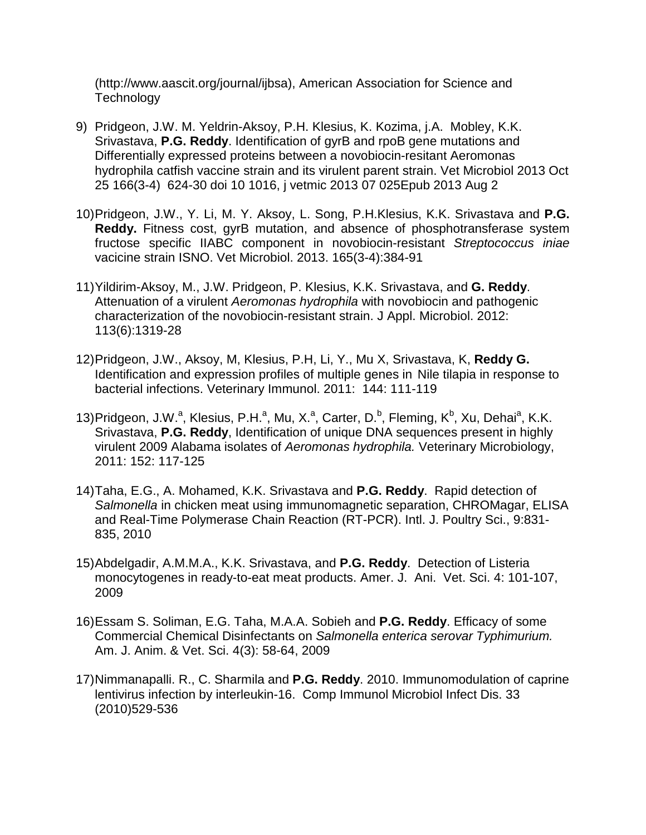(http://www.aascit.org/journal/ijbsa), American Association for Science and **Technology** 

- 9) Pridgeon, J.W. M. Yeldrin-Aksoy, P.H. Klesius, K. Kozima, j.A. Mobley, K.K. Srivastava, **P.G. Reddy**. Identification of gyrB and rpoB gene mutations and Differentially expressed proteins between a novobiocin-resitant Aeromonas hydrophila catfish vaccine strain and its virulent parent strain. Vet Microbiol 2013 Oct 25 166(3-4) 624-30 doi 10 1016, j vetmic 2013 07 025Epub 2013 Aug 2
- 10)Pridgeon, J.W., Y. Li, M. Y. Aksoy, L. Song, P.H.Klesius, K.K. Srivastava and **P.G. Reddy.** Fitness cost, gyrB mutation, and absence of phosphotransferase system fructose specific IIABC component in novobiocin-resistant *Streptococcus iniae* vacicine strain ISNO. Vet Microbiol. 2013. 165(3-4):384-91
- 11)Yildirim-Aksoy, M., J.W. Pridgeon, P. Klesius, K.K. Srivastava, and **G. Reddy**. Attenuation of a virulent *Aeromonas hydrophila* with novobiocin and pathogenic characterization of the novobiocin-resistant strain. J Appl. Microbiol. 2012: 113(6):1319-28
- 12)Pridgeon, J.W., Aksoy, M, Klesius, P.H, Li, Y., Mu X, Srivastava, K, **Reddy G.** Identification and expression profiles of multiple genes in Nile tilapia in response to bacterial infections. Veterinary Immunol. 2011: 144: 111-119
- 13) Pridgeon, J.W.<sup>a</sup>, Klesius, P.H.<sup>a</sup>, Mu, X.<sup>a</sup>, Carter, D.<sup>b</sup>, Fleming, K<sup>b</sup>, Xu, Dehai<sup>a</sup>, K.K. Srivastava, **P.G. Reddy**, Identification of unique DNA sequences present in highly virulent 2009 Alabama isolates of *Aeromonas hydrophila.* Veterinary Microbiology, 2011: 152: 117-125
- 14)Taha, E.G., A. Mohamed, K.K. Srivastava and **P.G. Reddy**. Rapid detection of *Salmonella* in chicken meat using immunomagnetic separation, CHROMagar, ELISA and Real-Time Polymerase Chain Reaction (RT-PCR). Intl. J. Poultry Sci., 9:831- 835, 2010
- 15)Abdelgadir, A.M.M.A., K.K. Srivastava, and **P.G. Reddy**. Detection of Listeria monocytogenes in ready-to-eat meat products. Amer. J. Ani. Vet. Sci. 4: 101-107, 2009
- 16)Essam S. Soliman, E.G. Taha, M.A.A. Sobieh and **P.G. Reddy**. Efficacy of some Commercial Chemical Disinfectants on *Salmonella enterica serovar Typhimurium.*  Am. J. Anim. & Vet. Sci. 4(3): 58-64, 2009
- 17)Nimmanapalli. R., C. Sharmila and **P.G. Reddy**. 2010. Immunomodulation of caprine lentivirus infection by interleukin-16. [Comp Immunol Microbiol Infect Dis.](javascript:AL_get(this,%20) 33 (2010)529-536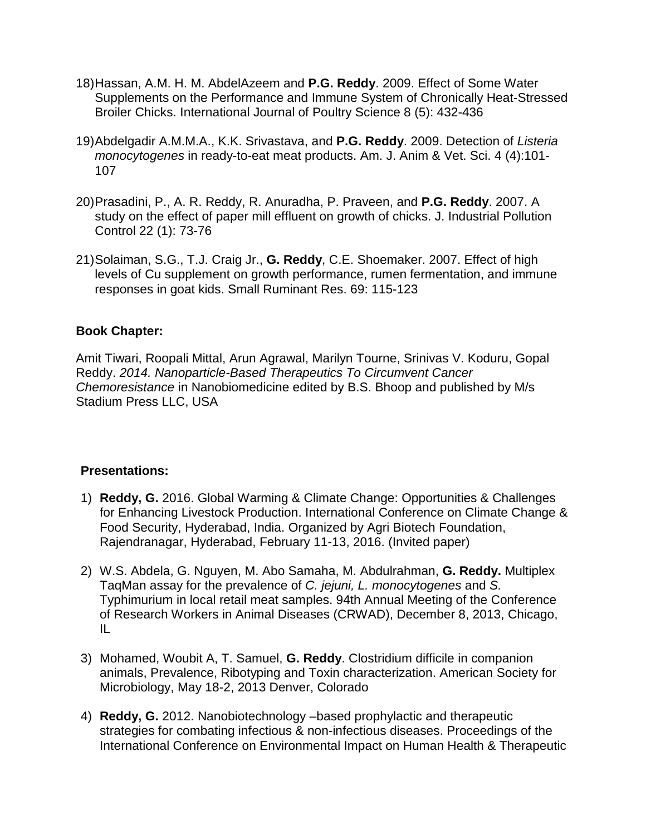- 18)Hassan, A.M. H. M. AbdelAzeem and **P.G. Reddy**. 2009. Effect of Some Water Supplements on the Performance and Immune System of Chronically Heat-Stressed Broiler Chicks. International Journal of Poultry Science 8 (5): 432-436
- 19)Abdelgadir A.M.M.A., K.K. Srivastava, and **P.G. Reddy**. 2009. Detection of *Listeria monocytogenes* in ready-to-eat meat products. Am. J. Anim & Vet. Sci. 4 (4):101- 107
- 20)Prasadini, P., A. R. Reddy, R. Anuradha, P. Praveen, and **P.G. Reddy**. 2007. A study on the effect of paper mill effluent on growth of chicks. J. Industrial Pollution Control 22 (1): 73-76
- 21)Solaiman, S.G., T.J. Craig Jr., **G. Reddy**, C.E. Shoemaker. 2007. Effect of high levels of Cu supplement on growth performance, rumen fermentation, and immune responses in goat kids. Small Ruminant Res. 69: 115-123

## **Book Chapter:**

Amit Tiwari, Roopali Mittal, Arun Agrawal, Marilyn Tourne, Srinivas V. Koduru, Gopal Reddy. *2014. Nanoparticle-Based Therapeutics To Circumvent Cancer Chemoresistance* in Nanobiomedicine edited by B.S. Bhoop and published by M/s Stadium Press LLC, USA

## **Presentations:**

- 1) **Reddy, G.** 2016. Global Warming & Climate Change: Opportunities & Challenges for Enhancing Livestock Production. International Conference on Climate Change & Food Security, Hyderabad, India. Organized by Agri Biotech Foundation, Rajendranagar, Hyderabad, February 11-13, 2016. (Invited paper)
- 2) W.S. Abdela, G. Nguyen, M. Abo Samaha, M. Abdulrahman, **G. Reddy.** Multiplex TaqMan assay for the prevalence of *C. jejuni, L. monocytogenes* and *S.*  Typhimurium in local retail meat samples. 94th Annual Meeting of the Conference of Research Workers in Animal Diseases (CRWAD), December 8, 2013, Chicago, IL
- 3) Mohamed, Woubit A, T. Samuel, **G. Reddy**. Clostridium difficile in companion animals, Prevalence, Ribotyping and Toxin characterization. American Society for Microbiology, May 18-2, 2013 Denver, Colorado
- 4) **Reddy, G.** 2012. Nanobiotechnology –based prophylactic and therapeutic strategies for combating infectious & non-infectious diseases. Proceedings of the International Conference on Environmental Impact on Human Health & Therapeutic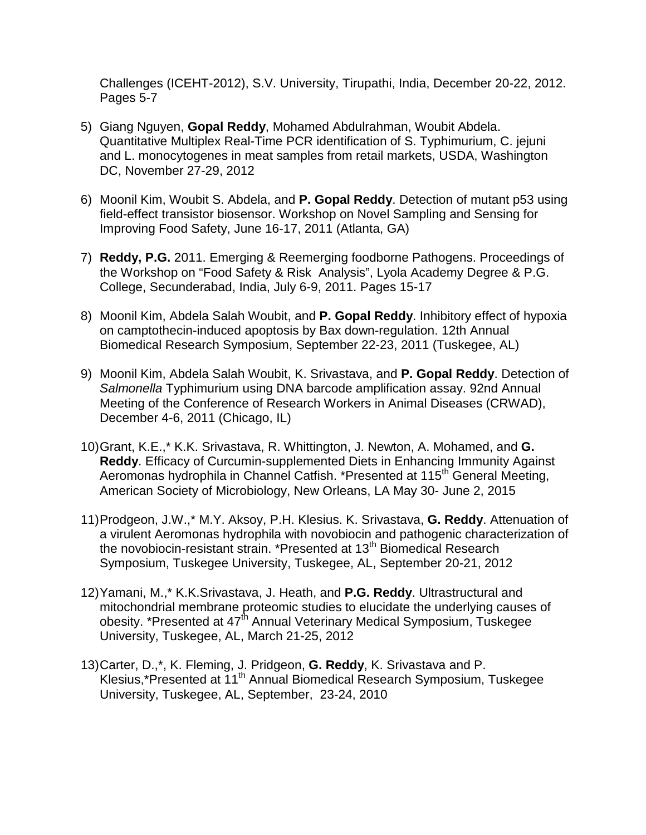Challenges (ICEHT-2012), S.V. University, Tirupathi, India, December 20-22, 2012. Pages 5-7

- 5) Giang Nguyen, **Gopal Reddy**, Mohamed Abdulrahman, Woubit Abdela. Quantitative Multiplex Real-Time PCR identification of S. Typhimurium, C. jejuni and L. monocytogenes in meat samples from retail markets, USDA, Washington DC, November 27-29, 2012
- 6) Moonil Kim, Woubit S. Abdela, and **P. Gopal Reddy**. Detection of mutant p53 using field-effect transistor biosensor. Workshop on Novel Sampling and Sensing for Improving Food Safety, June 16-17, 2011 (Atlanta, GA)
- 7) **Reddy, P.G.** 2011. Emerging & Reemerging foodborne Pathogens. Proceedings of the Workshop on "Food Safety & Risk Analysis", Lyola Academy Degree & P.G. College, Secunderabad, India, July 6-9, 2011. Pages 15-17
- 8) Moonil Kim, Abdela Salah Woubit, and **P. Gopal Reddy**. Inhibitory effect of hypoxia on camptothecin-induced apoptosis by Bax down-regulation. 12th Annual Biomedical Research Symposium, September 22-23, 2011 (Tuskegee, AL)
- 9) Moonil Kim, Abdela Salah Woubit, K. Srivastava, and **P. Gopal Reddy**. Detection of *Salmonella* Typhimurium using DNA barcode amplification assay. 92nd Annual Meeting of the Conference of Research Workers in Animal Diseases (CRWAD), December 4-6, 2011 (Chicago, IL)
- 10)Grant, K.E.,\* K.K. Srivastava, R. Whittington, J. Newton, A. Mohamed, and **G. Reddy**. Efficacy of Curcumin-supplemented Diets in Enhancing Immunity Against Aeromonas hydrophila in Channel Catfish. \*Presented at 115<sup>th</sup> General Meeting, American Society of Microbiology, New Orleans, LA May 30- June 2, 2015
- 11)Prodgeon, J.W.,\* M.Y. Aksoy, P.H. Klesius. K. Srivastava, **G. Reddy**. Attenuation of a virulent Aeromonas hydrophila with novobiocin and pathogenic characterization of the novobiocin-resistant strain. \*Presented at 13<sup>th</sup> Biomedical Research Symposium, Tuskegee University, Tuskegee, AL, September 20-21, 2012
- 12)Yamani, M.,\* K.K.Srivastava, J. Heath, and **P.G. Reddy**. Ultrastructural and mitochondrial membrane proteomic studies to elucidate the underlying causes of obesity. \*Presented at 47<sup>th</sup> Annual Veterinary Medical Symposium, Tuskegee University, Tuskegee, AL, March 21-25, 2012
- 13)Carter, D.,\*, K. Fleming, J. Pridgeon, **G. Reddy**, K. Srivastava and P. Klesius,\*Presented at 11th Annual Biomedical Research Symposium, Tuskegee University, Tuskegee, AL, September, 23-24, 2010